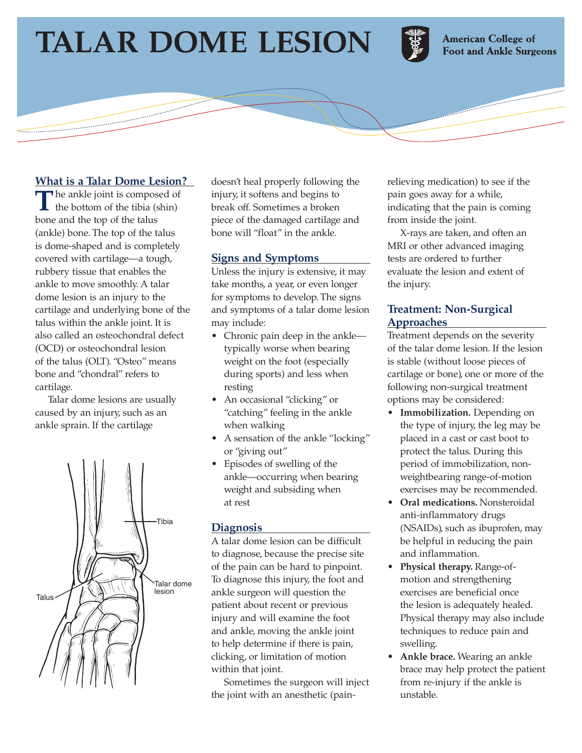# **TALAR DOME LESION**



**American College of Foot and Ankle Surgeons** 

# **What is a Talar Dome Lesion?**

The ankle joint is composed of the bottom of the tibia (shin) bone and the top of the talus (ankle) bone. The top of the talus is dome-shaped and is completely covered with cartilage—a tough, rubbery tissue that enables the ankle to move smoothly. A talar dome lesion is an injury to the cartilage and underlying bone of the talus within the ankle joint. It is also called an osteochondral defect (OCD) or osteochondral lesion of the talus (OLT). "Osteo" means bone and "chondral" refers to cartilage.

Talar dome lesions are usually caused by an injury, such as an ankle sprain. If the cartilage



doesn't heal properly following the injury, it softens and begins to break off. Sometimes a broken piece of the damaged cartilage and bone will "float" in the ankle.

### **Signs and Symptoms**

Unless the injury is extensive, it may take months, a year, or even longer for symptoms to develop. The signs and symptoms of a talar dome lesion may include:

- Chronic pain deep in the ankle typically worse when bearing weight on the foot (especially during sports) and less when resting
- An occasional "clicking" or "catching" feeling in the ankle when walking
- A sensation of the ankle "locking" or "giving out"
- Episodes of swelling of the ankle—occurring when bearing weight and subsiding when at rest

## **Diagnosis**

A talar dome lesion can be difficult to diagnose, because the precise site of the pain can be hard to pinpoint. To diagnose this injury, the foot and ankle surgeon will question the patient about recent or previous injury and will examine the foot and ankle, moving the ankle joint to help determine if there is pain, clicking, or limitation of motion within that joint.

Sometimes the surgeon will inject the joint with an anesthetic (pain-

relieving medication) to see if the pain goes away for a while, indicating that the pain is coming from inside the joint.

X-rays are taken, and often an MRI or other advanced imaging tests are ordered to further evaluate the lesion and extent of the injury.

# **Treatment: Non-Surgical Approaches**

Treatment depends on the severity of the talar dome lesion. If the lesion is stable (without loose pieces of cartilage or bone), one or more of the following non-surgical treatment options may be considered:

- **Immobilization.** Depending on the type of injury, the leg may be placed in a cast or cast boot to protect the talus. During this period of immobilization, nonweightbearing range-of-motion exercises may be recommended.
- **Oral medications.** Nonsteroidal anti-inflammatory drugs (NSAIDs), such as ibuprofen, may be helpful in reducing the pain and inflammation.
- **Physical therapy.** Range-ofmotion and strengthening exercises are beneficial once the lesion is adequately healed. Physical therapy may also include techniques to reduce pain and swelling.
- **Ankle brace.** Wearing an ankle brace may help protect the patient from re-injury if the ankle is unstable.